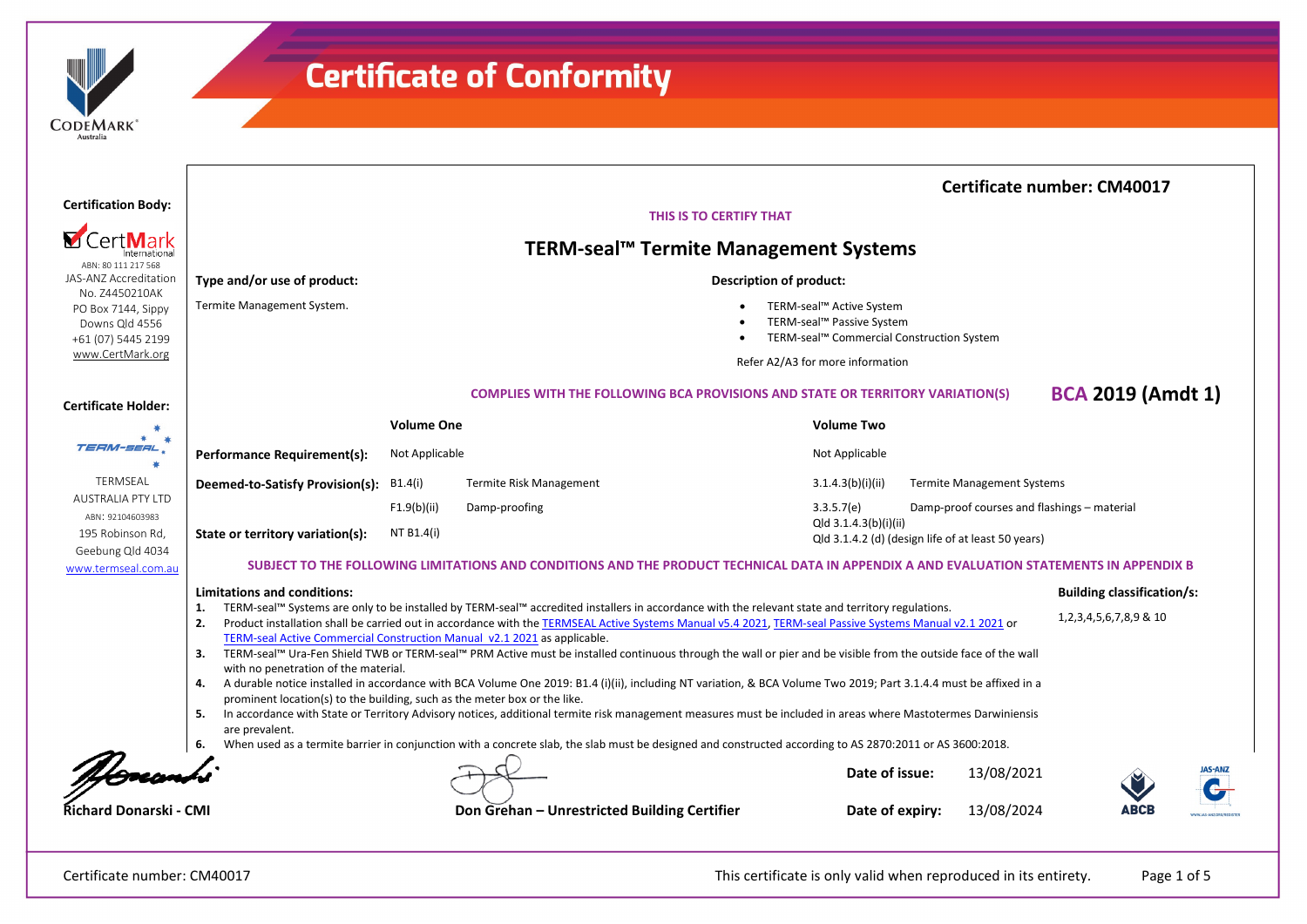| <b>ODEMARK</b> |  |
|----------------|--|
| Australia      |  |

|                                                                                      |                                                                                                                                                                                                                                                                                     |                           |                                                                                                                                                                                                                                                                                                                                                                                                                                                                                                                                                                                                                                                                                                                                                                                                                                                                                                                                                                                |                                                                                                    |                                                    | <b>Certificate number: CM40017</b>                                  |
|--------------------------------------------------------------------------------------|-------------------------------------------------------------------------------------------------------------------------------------------------------------------------------------------------------------------------------------------------------------------------------------|---------------------------|--------------------------------------------------------------------------------------------------------------------------------------------------------------------------------------------------------------------------------------------------------------------------------------------------------------------------------------------------------------------------------------------------------------------------------------------------------------------------------------------------------------------------------------------------------------------------------------------------------------------------------------------------------------------------------------------------------------------------------------------------------------------------------------------------------------------------------------------------------------------------------------------------------------------------------------------------------------------------------|----------------------------------------------------------------------------------------------------|----------------------------------------------------|---------------------------------------------------------------------|
| <b>Certification Body:</b>                                                           |                                                                                                                                                                                                                                                                                     |                           | THIS IS TO CERTIFY THAT                                                                                                                                                                                                                                                                                                                                                                                                                                                                                                                                                                                                                                                                                                                                                                                                                                                                                                                                                        |                                                                                                    |                                                    |                                                                     |
| ABN: 80 111 217 568                                                                  |                                                                                                                                                                                                                                                                                     |                           | TERM-seal™ Termite Management Systems                                                                                                                                                                                                                                                                                                                                                                                                                                                                                                                                                                                                                                                                                                                                                                                                                                                                                                                                          |                                                                                                    |                                                    |                                                                     |
| JAS-ANZ Accreditation                                                                | Type and/or use of product:                                                                                                                                                                                                                                                         |                           |                                                                                                                                                                                                                                                                                                                                                                                                                                                                                                                                                                                                                                                                                                                                                                                                                                                                                                                                                                                | <b>Description of product:</b>                                                                     |                                                    |                                                                     |
| No. Z4450210AK<br>PO Box 7144, Sippy<br>Downs Qld 4556<br>+61 (07) 5445 2199         | Termite Management System.                                                                                                                                                                                                                                                          |                           |                                                                                                                                                                                                                                                                                                                                                                                                                                                                                                                                                                                                                                                                                                                                                                                                                                                                                                                                                                                | TERM-seal™ Active System<br>TERM-seal™ Passive System<br>TERM-seal™ Commercial Construction System |                                                    |                                                                     |
| www.CertMark.org                                                                     |                                                                                                                                                                                                                                                                                     |                           |                                                                                                                                                                                                                                                                                                                                                                                                                                                                                                                                                                                                                                                                                                                                                                                                                                                                                                                                                                                | Refer A2/A3 for more information                                                                   |                                                    |                                                                     |
| <b>Certificate Holder:</b>                                                           |                                                                                                                                                                                                                                                                                     |                           | <b>COMPLIES WITH THE FOLLOWING BCA PROVISIONS AND STATE OR TERRITORY VARIATION(S)</b>                                                                                                                                                                                                                                                                                                                                                                                                                                                                                                                                                                                                                                                                                                                                                                                                                                                                                          |                                                                                                    |                                                    | <b>BCA 2019 (Amdt 1)</b>                                            |
| 崔                                                                                    |                                                                                                                                                                                                                                                                                     | <b>Volume One</b>         |                                                                                                                                                                                                                                                                                                                                                                                                                                                                                                                                                                                                                                                                                                                                                                                                                                                                                                                                                                                | <b>Volume Two</b>                                                                                  |                                                    |                                                                     |
| TERM-SERL                                                                            | <b>Performance Requirement(s):</b>                                                                                                                                                                                                                                                  | Not Applicable            |                                                                                                                                                                                                                                                                                                                                                                                                                                                                                                                                                                                                                                                                                                                                                                                                                                                                                                                                                                                | Not Applicable                                                                                     |                                                    |                                                                     |
| TERMSEAL                                                                             | Deemed-to-Satisfy Provision(s):                                                                                                                                                                                                                                                     | B1.4(i)                   | Termite Risk Management                                                                                                                                                                                                                                                                                                                                                                                                                                                                                                                                                                                                                                                                                                                                                                                                                                                                                                                                                        | 3.1.4.3(b)(i)(ii)                                                                                  | <b>Termite Management Systems</b>                  |                                                                     |
| <b>AUSTRALIA PTY LTD</b><br>ABN: 92104603983<br>195 Robinson Rd,<br>Geebung Qld 4034 | State or territory variation(s):                                                                                                                                                                                                                                                    | F1.9(b)(ii)<br>NT B1.4(i) | Damp-proofing                                                                                                                                                                                                                                                                                                                                                                                                                                                                                                                                                                                                                                                                                                                                                                                                                                                                                                                                                                  | 3.3.5.7(e)<br>Qld 3.1.4.3(b)(i)(ii)                                                                | Qld 3.1.4.2 (d) (design life of at least 50 years) | Damp-proof courses and flashings - material                         |
| www.termseal.com.au                                                                  |                                                                                                                                                                                                                                                                                     |                           | SUBJECT TO THE FOLLOWING LIMITATIONS AND CONDITIONS AND THE PRODUCT TECHNICAL DATA IN APPENDIX A AND EVALUATION STATEMENTS IN APPENDIX B                                                                                                                                                                                                                                                                                                                                                                                                                                                                                                                                                                                                                                                                                                                                                                                                                                       |                                                                                                    |                                                    |                                                                     |
|                                                                                      | <b>Limitations and conditions:</b><br>1.<br>2.<br>TERM-seal Active Commercial Construction Manual v2.1 2021 as applicable.<br>3.<br>with no penetration of the material.<br>4.<br>prominent location(s) to the building, such as the meter box or the like.<br>5.<br>are prevalent. |                           | TERM-seal™ Systems are only to be installed by TERM-seal™ accredited installers in accordance with the relevant state and territory regulations.<br>Product installation shall be carried out in accordance with the TERMSEAL Active Systems Manual v5.4 2021, TERM-seal Passive Systems Manual v2.1 2021 or<br>TERM-seal™ Ura-Fen Shield TWB or TERM-seal™ PRM Active must be installed continuous through the wall or pier and be visible from the outside face of the wall<br>A durable notice installed in accordance with BCA Volume One 2019: B1.4 (i)(ii), including NT variation, & BCA Volume Two 2019; Part 3.1.4.4 must be affixed in a<br>In accordance with State or Territory Advisory notices, additional termite risk management measures must be included in areas where Mastotermes Darwiniensis<br>When used as a termite barrier in conjunction with a concrete slab, the slab must be designed and constructed according to AS 2870:2011 or AS 3600:2018. |                                                                                                    |                                                    | <b>Building classification/s:</b><br>1, 2, 3, 4, 5, 6, 7, 8, 9 & 10 |
|                                                                                      |                                                                                                                                                                                                                                                                                     |                           |                                                                                                                                                                                                                                                                                                                                                                                                                                                                                                                                                                                                                                                                                                                                                                                                                                                                                                                                                                                | Date of issue:                                                                                     | 13/08/2021                                         | <b>JAS-ANZ</b>                                                      |
| Richard Donarski - CMI                                                               |                                                                                                                                                                                                                                                                                     |                           | Don Grehan - Unrestricted Building Certifier                                                                                                                                                                                                                                                                                                                                                                                                                                                                                                                                                                                                                                                                                                                                                                                                                                                                                                                                   | Date of expiry:                                                                                    | 13/08/2024                                         |                                                                     |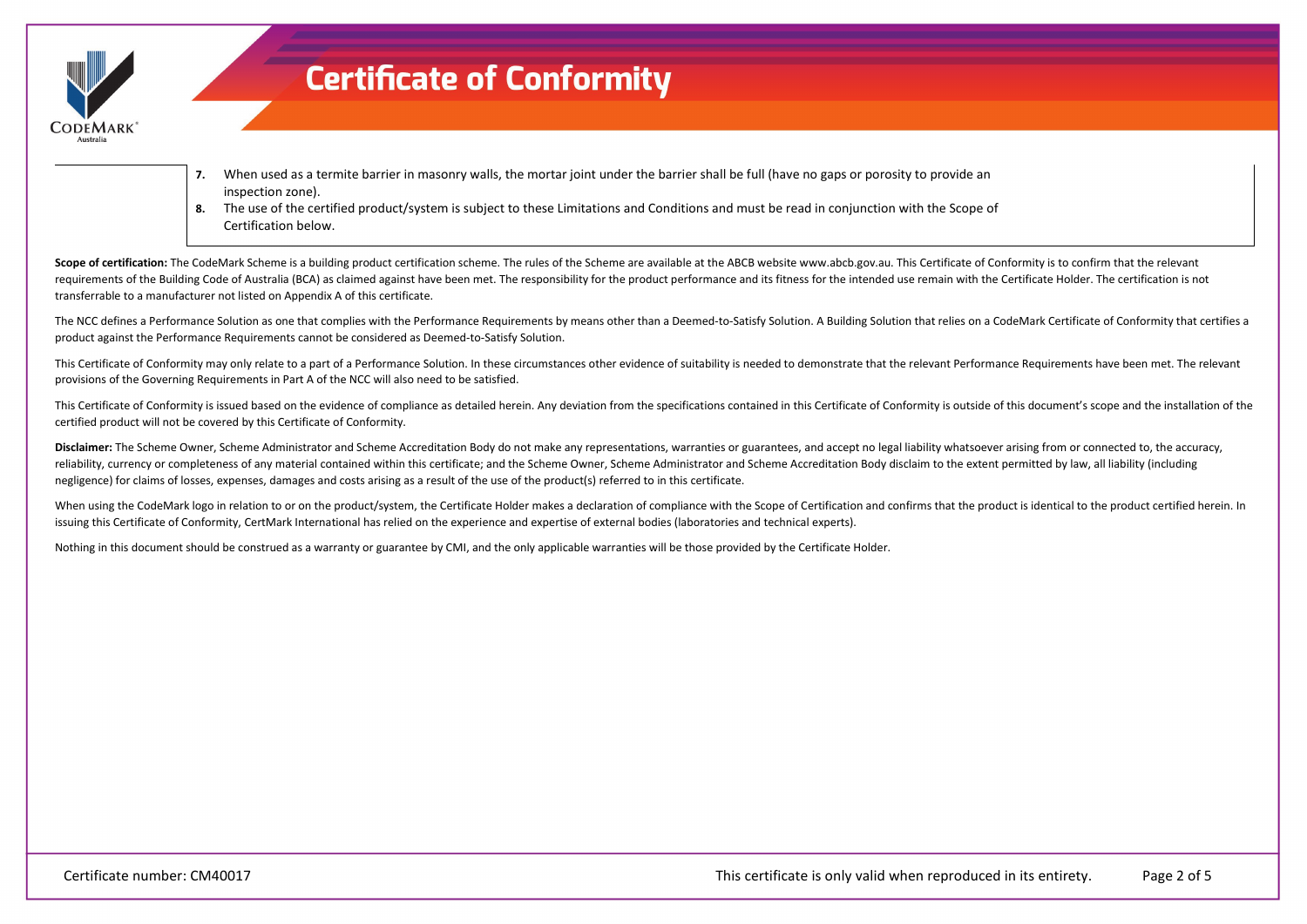

- **7.** When used as a termite barrier in masonry walls, the mortar joint under the barrier shall be full (have no gaps or porosity to provide an inspection zone).
- **8.** The use of the certified product/system is subject to these Limitations and Conditions and must be read in conjunction with the Scope of Certification below.

Scope of certification: The CodeMark Scheme is a building product certification scheme. The rules of the Scheme are available at the ABCB website www.abcb.gov.au. This Certificate of Conformity is to confirm that the relev requirements of the Building Code of Australia (BCA) as claimed against have been met. The responsibility for the product performance and its fitness for the intended use remain with the Certificate Holder. The certificati transferrable to a manufacturer not listed on Appendix A of this certificate.

The NCC defines a Performance Solution as one that complies with the Performance Requirements by means other than a Deemed-to-Satisfy Solution. A Building Solution that relies on a CodeMark Certificate of Conformity that c product against the Performance Requirements cannot be considered as Deemed-to-Satisfy Solution.

This Certificate of Conformity may only relate to a part of a Performance Solution. In these circumstances other evidence of suitability is needed to demonstrate that the relevant Performance Requirements have been met. Th provisions of the Governing Requirements in Part A of the NCC will also need to be satisfied.

This Certificate of Conformity is issued based on the evidence of compliance as detailed herein. Any deviation from the specifications contained in this Certificate of Conformity is outside of this document's scope and the certified product will not be covered by this Certificate of Conformity.

Disclaimer: The Scheme Owner, Scheme Administrator and Scheme Accreditation Body do not make any representations, warranties or guarantees, and accept no legal liability whatsoever arising from or connected to, the accurac reliability, currency or completeness of any material contained within this certificate; and the Scheme Owner, Scheme Administrator and Scheme Accreditation Body disclaim to the extent permitted by law, all liability (incl negligence) for claims of losses, expenses, damages and costs arising as a result of the use of the product(s) referred to in this certificate.

When using the CodeMark logo in relation to or on the product/system, the Certificate Holder makes a declaration of compliance with the Scope of Certification and confirms that the product is identical to the product certi issuing this Certificate of Conformity, CertMark International has relied on the experience and expertise of external bodies (laboratories and technical experts).

Nothing in this document should be construed as a warranty or guarantee by CMI, and the only applicable warranties will be those provided by the Certificate Holder.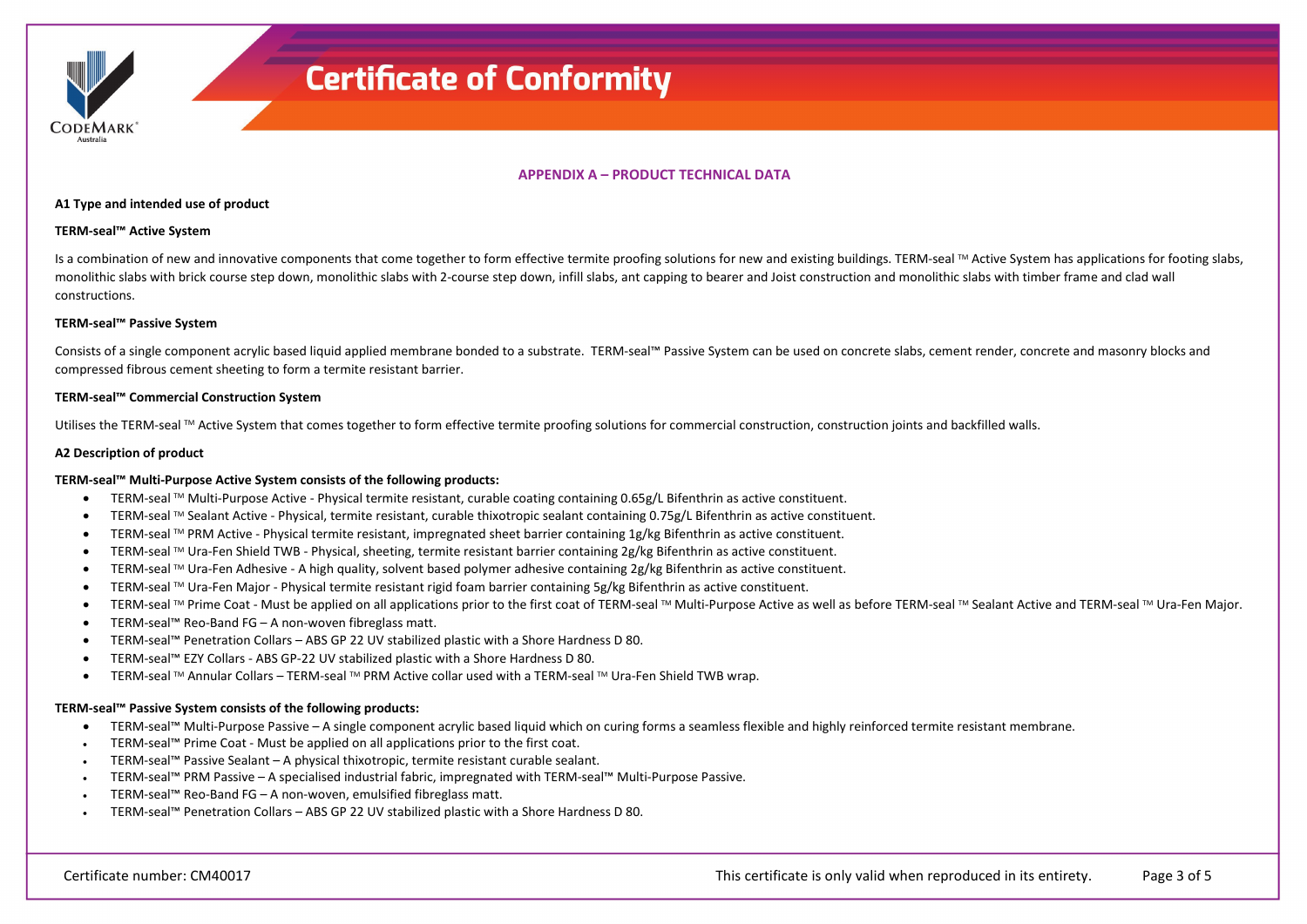#### **APPENDIX A – PRODUCT TECHNICAL DATA**

#### **A1 Type and intended use of product**

#### **TERM-seal™ Active System**

CODEMARK

Is a combination of new and innovative components that come together to form effective termite proofing solutions for new and existing buildings. TERM-seal ™ Active System has applications for footing slabs, monolithic slabs with brick course step down, monolithic slabs with 2-course step down, infill slabs, ant capping to bearer and Joist construction and monolithic slabs with timber frame and clad wall constructions.

#### **TERM-seal™ Passive System**

Consists of a single component acrylic based liquid applied membrane bonded to a substrate. TERM-seal™ Passive System can be used on concrete slabs, cement render, concrete and masonry blocks and compressed fibrous cement sheeting to form a termite resistant barrier.

#### **TERM-seal™ Commercial Construction System**

Utilises the TERM-seal ™ Active System that comes together to form effective termite proofing solutions for commercial construction, construction joints and backfilled walls.

#### **A2 Description of product**

#### **TERM-seal™ Multi-Purpose Active System consists of the following products:**

- TERM-seal TM Multi-Purpose Active Physical termite resistant, curable coating containing 0.65g/L Bifenthrin as active constituent.
- TERM-seal TM Sealant Active Physical, termite resistant, curable thixotropic sealant containing 0.75g/L Bifenthrin as active constituent.
- TERM-seal  $TM$  PRM Active Physical termite resistant, impregnated sheet barrier containing 1g/kg Bifenthrin as active constituent.
- TERM-seal TM Ura-Fen Shield TWB Physical, sheeting, termite resistant barrier containing 2g/kg Bifenthrin as active constituent.
- TERM-seal TM Ura-Fen Adhesive A high quality, solvent based polymer adhesive containing 2g/kg Bifenthrin as active constituent.
- TERM-seal TM Ura-Fen Major Physical termite resistant rigid foam barrier containing 5g/kg Bifenthrin as active constituent.
- TERM-seal ™ Prime Coat Must be applied on all applications prior to the first coat of TERM-seal ™ Multi-Purpose Active as well as before TERM-seal ™ Sealant Active and TERM-seal ™ Ura-Fen Major.
- TERM-seal™ Reo-Band FG A non-woven fibreglass matt.
- TERM-seal™ Penetration Collars ABS GP 22 UV stabilized plastic with a Shore Hardness D 80.
- TERM-seal™ EZY Collars ABS GP-22 UV stabilized plastic with a Shore Hardness D 80.
- TERM-seal TM Annular Collars TERM-seal TM PRM Active collar used with a TERM-seal TM Ura-Fen Shield TWB wrap.

#### **TERM-seal™ Passive System consists of the following products:**

- TERM-seal™ Multi-Purpose Passive A single component acrylic based liquid which on curing forms a seamless flexible and highly reinforced termite resistant membrane.
- TERM-seal™ Prime Coat Must be applied on all applications prior to the first coat.
- TERM-seal™ Passive Sealant A physical thixotropic, termite resistant curable sealant.
- TERM-seal™ PRM Passive A specialised industrial fabric, impregnated with TERM-seal™ Multi-Purpose Passive.
- TERM-seal™ Reo-Band FG A non-woven, emulsified fibreglass matt.
- TERM-seal™ Penetration Collars ABS GP 22 UV stabilized plastic with a Shore Hardness D 80.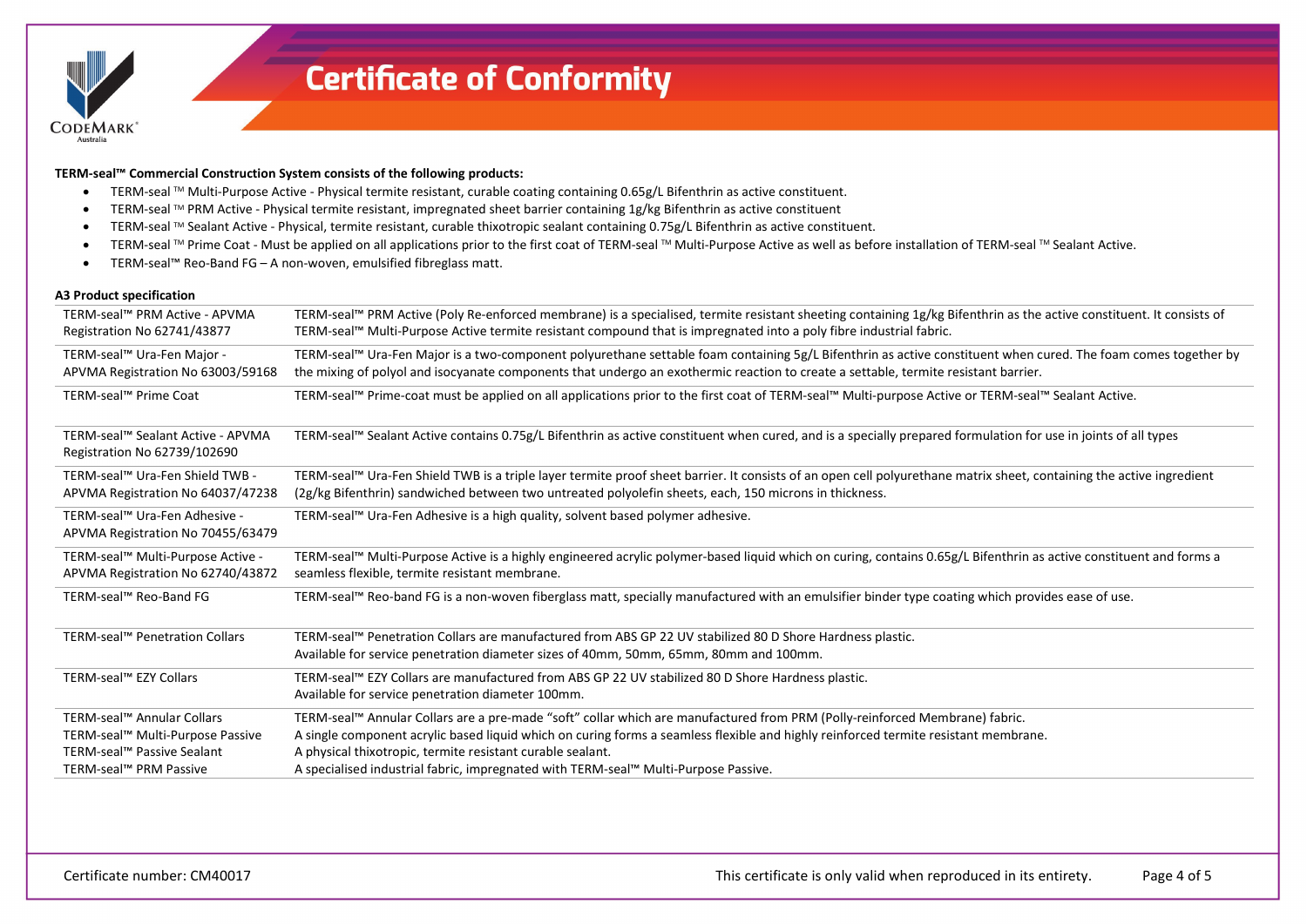

**TERM-seal™ Commercial Construction System consists of the following products:**

- TERM-seal TM Multi-Purpose Active Physical termite resistant, curable coating containing 0.65g/L Bifenthrin as active constituent.
- TERM-seal TM PRM Active Physical termite resistant, impregnated sheet barrier containing 1g/kg Bifenthrin as active constituent
- TERM-seal TM Sealant Active Physical, termite resistant, curable thixotropic sealant containing 0.75g/L Bifenthrin as active constituent.
- TERM-seal ™ Prime Coat Must be applied on all applications prior to the first coat of TERM-seal ™ Multi-Purpose Active as well as before installation of TERM-seal ™ Sealant Active.
- TERM-seal™ Reo-Band FG A non-woven, emulsified fibreglass matt.

#### **A3 Product specification**

| TERM-seal™ PRM Active - APVMA<br>Registration No 62741/43877                                                           | TERM-seal™ PRM Active (Poly Re-enforced membrane) is a specialised, termite resistant sheeting containing 1g/kg Bifenthrin as the active constituent. It consists of<br>TERM-seal™ Multi-Purpose Active termite resistant compound that is impregnated into a poly fibre industrial fabric.                                                                                                                             |
|------------------------------------------------------------------------------------------------------------------------|-------------------------------------------------------------------------------------------------------------------------------------------------------------------------------------------------------------------------------------------------------------------------------------------------------------------------------------------------------------------------------------------------------------------------|
| TERM-seal™ Ura-Fen Major -<br>APVMA Registration No 63003/59168                                                        | TERM-seal™ Ura-Fen Major is a two-component polyurethane settable foam containing 5g/L Bifenthrin as active constituent when cured. The foam comes together by<br>the mixing of polyol and isocyanate components that undergo an exothermic reaction to create a settable, termite resistant barrier.                                                                                                                   |
| TERM-seal™ Prime Coat                                                                                                  | TERM-seal™ Prime-coat must be applied on all applications prior to the first coat of TERM-seal™ Multi-purpose Active or TERM-seal™ Sealant Active.                                                                                                                                                                                                                                                                      |
| TERM-seal™ Sealant Active - APVMA<br>Registration No 62739/102690                                                      | TERM-seal™ Sealant Active contains 0.75g/L Bifenthrin as active constituent when cured, and is a specially prepared formulation for use in joints of all types                                                                                                                                                                                                                                                          |
| TERM-seal™ Ura-Fen Shield TWB -<br>APVMA Registration No 64037/47238                                                   | TERM-seal™ Ura-Fen Shield TWB is a triple layer termite proof sheet barrier. It consists of an open cell polyurethane matrix sheet, containing the active ingredient<br>(2g/kg Bifenthrin) sandwiched between two untreated polyolefin sheets, each, 150 microns in thickness.                                                                                                                                          |
| TERM-seal™ Ura-Fen Adhesive -<br>APVMA Registration No 70455/63479                                                     | TERM-seal™ Ura-Fen Adhesive is a high quality, solvent based polymer adhesive.                                                                                                                                                                                                                                                                                                                                          |
| TERM-seal™ Multi-Purpose Active -<br>APVMA Registration No 62740/43872                                                 | TERM-seal™ Multi-Purpose Active is a highly engineered acrylic polymer-based liquid which on curing, contains 0.65g/L Bifenthrin as active constituent and forms a<br>seamless flexible, termite resistant membrane.                                                                                                                                                                                                    |
| TERM-seal™ Reo-Band FG                                                                                                 | TERM-seal™ Reo-band FG is a non-woven fiberglass matt, specially manufactured with an emulsifier binder type coating which provides ease of use.                                                                                                                                                                                                                                                                        |
| TERM-seal™ Penetration Collars                                                                                         | TERM-seal™ Penetration Collars are manufactured from ABS GP 22 UV stabilized 80 D Shore Hardness plastic.<br>Available for service penetration diameter sizes of 40mm, 50mm, 65mm, 80mm and 100mm.                                                                                                                                                                                                                      |
| TERM-seal™ EZY Collars                                                                                                 | TERM-seal™ EZY Collars are manufactured from ABS GP 22 UV stabilized 80 D Shore Hardness plastic.<br>Available for service penetration diameter 100mm.                                                                                                                                                                                                                                                                  |
| TERM-seal™ Annular Collars<br>TERM-seal™ Multi-Purpose Passive<br>TERM-seal™ Passive Sealant<br>TERM-seal™ PRM Passive | TERM-seal™ Annular Collars are a pre-made "soft" collar which are manufactured from PRM (Polly-reinforced Membrane) fabric.<br>A single component acrylic based liquid which on curing forms a seamless flexible and highly reinforced termite resistant membrane.<br>A physical thixotropic, termite resistant curable sealant.<br>A specialised industrial fabric, impregnated with TERM-seal™ Multi-Purpose Passive. |